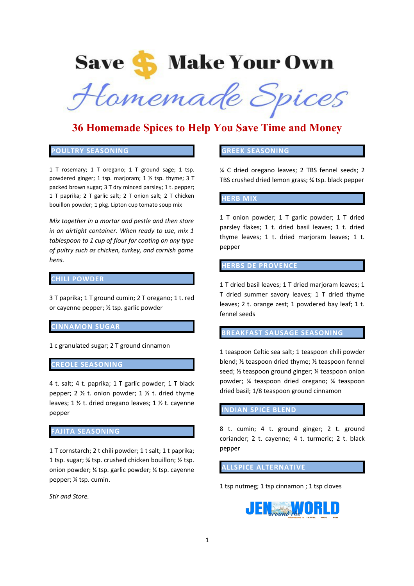# **Save S** Make Your Own

Hamemade Spices

## **36 Homemade Spices to Help You Save Time and Money**

## **POULTRY SEASONING**

1 T rosemary; 1 T oregano; 1 T ground sage; 1 tsp. powdered ginger; 1 tsp. marjoram; 1 ½ tsp. thyme; 3 T packed brown sugar; 3 T dry minced parsley; 1 t. pepper; 1 T paprika; 2 T garlic salt; 2 T onion salt; 2 T chicken bouillon powder; 1 pkg. Lipton cup tomato soup mix

*Mix together in a mortar and pestle and then store in an airtight container. When ready to use, mix 1 tablespoon to 1 cup of flour for coating on any type of pultry such as chicken, turkey, and cornish game hens.*

## **CHILI POWDER**

3 T paprika; 1 T ground cumin; 2 T oregano; 1 t. red or cayenne pepper; ½ tsp. garlic powder

#### **CINNAMON SUGAR**

1 c granulated sugar; 2 T ground cinnamon

## **EOLE SEASONING**

4 t. salt; 4 t. paprika; 1 T garlic powder; 1 T black pepper; 2  $\frac{1}{2}$  t. onion powder; 1  $\frac{1}{2}$  t. dried thyme leaves; 1 ½ t. dried oregano leaves; 1 ½ t. cayenne pepper

#### **FAJITA SEASONING**

1 T cornstarch; 2 t chili powder; 1 t salt; 1 t paprika; 1 tsp. sugar; ¾ tsp. crushed chicken bouillon; ½ tsp. onion powder; ¼ tsp. garlic powder; ¼ tsp. cayenne pepper; ¼ tsp. cumin.

*Stir and Store.*

## **GREEK SEASONING**

¼ C dried oregano leaves; 2 TBS fennel seeds; 2 TBS crushed dried lemon grass; ¾ tsp. black pepper

#### **HERB MIX**

1 T onion powder; 1 T garlic powder; 1 T dried parsley flakes; 1 t. dried basil leaves; 1 t. dried thyme leaves; 1 t. dried marjoram leaves; 1 t. pepper

#### **HERBS DE PROVENCE**

1 T dried basil leaves; 1 T dried marjoram leaves; 1 T dried summer savory leaves; 1 T dried thyme leaves; 2 t. orange zest; 1 powdered bay leaf; 1 t. fennel seeds

## **BREAKFAST SAUSAGE SEASONING**

1 teaspoon Celtic sea salt; 1 teaspoon chili powder blend; ½ teaspoon dried thyme; ½ teaspoon fennel seed; ½ teaspoon ground ginger; ¼ teaspoon onion powder; ¼ teaspoon dried oregano; ¼ teaspoon dried basil; 1/8 teaspoon ground cinnamon

#### **INDIAN SPICE BLEND**

8 t. cumin; 4 t. ground ginger; 2 t. ground coriander; 2 t. cayenne; 4 t. turmeric; 2 t. black pepper

## **ALLSPICE ALTERNATIVE**

1 tsp nutmeg; 1 tsp cinnamon ; 1 tsp cloves

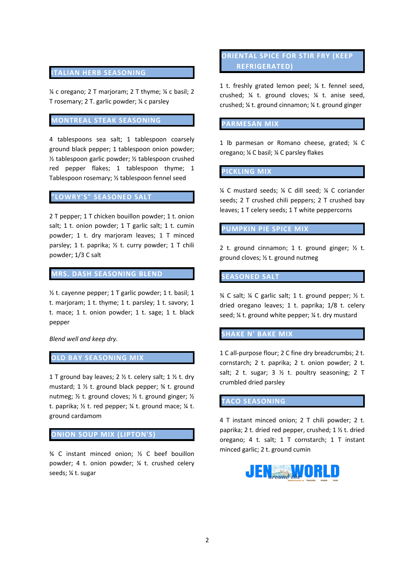## **ITALIAN HERB SEASONING**

¼ c oregano; 2 T marjoram; 2 T thyme; ¼ c basil; 2 T rosemary; 2 T. garlic powder; ¼ c parsley

## **MONTREAL STEAK SEASONING**

4 tablespoons sea salt; 1 tablespoon coarsely ground black pepper; 1 tablespoon onion powder; ½ tablespoon garlic powder; ½ tablespoon crushed red pepper flakes; 1 tablespoon thyme; 1 Tablespoon rosemary; ½ tablespoon fennel seed

## **"LOWRY'S" SEASONED SALT**

2 T pepper; 1 T chicken bouillon powder; 1 t. onion salt; 1 t. onion powder; 1 T garlic salt; 1 t. cumin powder; 1 t. dry marjoram leaves; 1 T minced parsley; 1 t. paprika; ½ t. curry powder; 1 T chili powder; 1/3 C salt

## **MRS. DASH SEASONING BLEND**

½ t. cayenne pepper; 1 T garlic powder; 1 t. basil; 1 t. marjoram; 1 t. thyme; 1 t. parsley; 1 t. savory; 1 t. mace; 1 t. onion powder; 1 t. sage; 1 t. black pepper

*Blend well and keep dry.*

## **OLD BAY SEASONING MIX**

1 T ground bay leaves; 2  $\frac{1}{2}$  t. celery salt; 1  $\frac{1}{2}$  t. dry mustard; 1 ½ t. ground black pepper; ¾ t. ground nutmeg; ½ t. ground cloves; ½ t. ground ginger; ½ t. paprika;  $\frac{1}{2}$  t. red pepper;  $\frac{1}{4}$  t. ground mace;  $\frac{1}{4}$  t. ground cardamom

## **ONION SOUP MIX (LIPTON'S)**

¾ C instant minced onion; ½ C beef bouillon powder; 4 t. onion powder; ¼ t. crushed celery seeds; ¼ t. sugar

## **ORIENTAL SPICE FOR STIR FRY (KEEP REFRIGERATED)**

1 t. freshly grated lemon peel; ¼ t. fennel seed, crushed; ¼ t. ground cloves; ¼ t. anise seed, crushed; ¼ t. ground cinnamon; ¼ t. ground ginger

#### **PARMESAN MIX**

1 lb parmesan or Romano cheese, grated; ¼ C oregano; ¼ C basil; ¼ C parsley flakes

**PICKLING MIX**

¼ C mustard seeds; ¼ C dill seed; ¼ C coriander seeds; 2 T crushed chili peppers; 2 T crushed bay leaves; 1 T celery seeds; 1 T white peppercorns

**PUMPKIN PIE SPICE MIX**

2 t. ground cinnamon; 1 t. ground ginger;  $\frac{1}{2}$  t. ground cloves; ½ t. ground nutmeg

## **SEASONED SALT**

 $%$  C salt;  $%$  C garlic salt; 1 t. ground pepper;  $%$  t. dried oregano leaves; 1 t. paprika; 1/8 t. celery seed; ¼ t. ground white pepper; ¼ t. dry mustard

## **SHAKE N' BAKE MIX**

1 C all-purpose flour; 2 C fine dry breadcrumbs; 2 t. cornstarch; 2 t. paprika; 2 t. onion powder; 2 t. salt; 2 t. sugar; 3  $\frac{1}{2}$  t. poultry seasoning; 2 T crumbled dried parsley

**TACO SEASONING**

4 T instant minced onion; 2 T chili powder; 2 t. paprika; 2 t. dried red pepper, crushed; 1 ½ t. dried oregano; 4 t. salt; 1 T cornstarch; 1 T instant minced garlic; 2 t. ground cumin